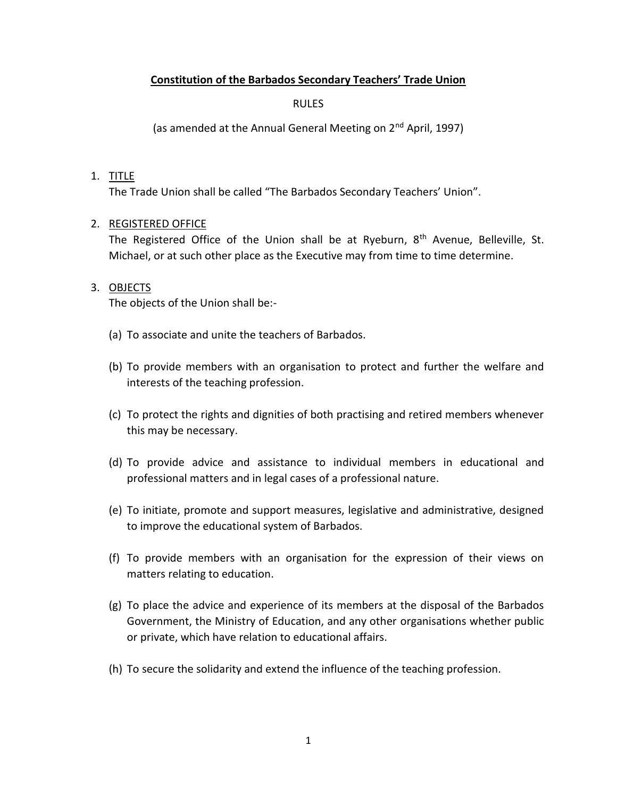### **Constitution of the Barbados Secondary Teachers' Trade Union**

RULES

(as amended at the Annual General Meeting on 2<sup>nd</sup> April, 1997)

#### 1. TITLE

The Trade Union shall be called "The Barbados Secondary Teachers' Union".

### 2. REGISTERED OFFICE

The Registered Office of the Union shall be at Ryeburn, 8<sup>th</sup> Avenue, Belleville, St. Michael, or at such other place as the Executive may from time to time determine.

#### 3. OBJECTS

The objects of the Union shall be:-

- (a) To associate and unite the teachers of Barbados.
- (b) To provide members with an organisation to protect and further the welfare and interests of the teaching profession.
- (c) To protect the rights and dignities of both practising and retired members whenever this may be necessary.
- (d) To provide advice and assistance to individual members in educational and professional matters and in legal cases of a professional nature.
- (e) To initiate, promote and support measures, legislative and administrative, designed to improve the educational system of Barbados.
- (f) To provide members with an organisation for the expression of their views on matters relating to education.
- (g) To place the advice and experience of its members at the disposal of the Barbados Government, the Ministry of Education, and any other organisations whether public or private, which have relation to educational affairs.
- (h) To secure the solidarity and extend the influence of the teaching profession.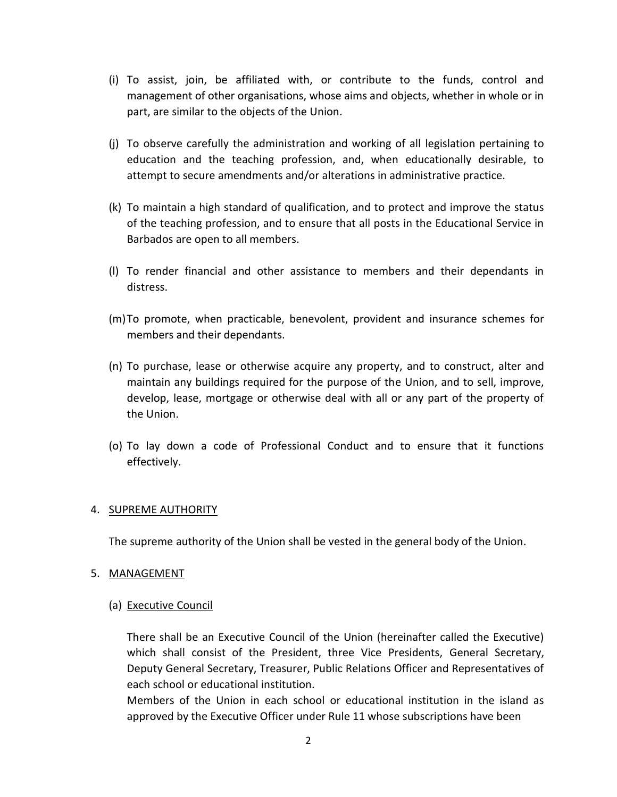- (i) To assist, join, be affiliated with, or contribute to the funds, control and management of other organisations, whose aims and objects, whether in whole or in part, are similar to the objects of the Union.
- (j) To observe carefully the administration and working of all legislation pertaining to education and the teaching profession, and, when educationally desirable, to attempt to secure amendments and/or alterations in administrative practice.
- (k) To maintain a high standard of qualification, and to protect and improve the status of the teaching profession, and to ensure that all posts in the Educational Service in Barbados are open to all members.
- (l) To render financial and other assistance to members and their dependants in distress.
- (m)To promote, when practicable, benevolent, provident and insurance schemes for members and their dependants.
- (n) To purchase, lease or otherwise acquire any property, and to construct, alter and maintain any buildings required for the purpose of the Union, and to sell, improve, develop, lease, mortgage or otherwise deal with all or any part of the property of the Union.
- (o) To lay down a code of Professional Conduct and to ensure that it functions effectively.

#### 4. SUPREME AUTHORITY

The supreme authority of the Union shall be vested in the general body of the Union.

#### 5. MANAGEMENT

(a) Executive Council

There shall be an Executive Council of the Union (hereinafter called the Executive) which shall consist of the President, three Vice Presidents, General Secretary, Deputy General Secretary, Treasurer, Public Relations Officer and Representatives of each school or educational institution.

Members of the Union in each school or educational institution in the island as approved by the Executive Officer under Rule 11 whose subscriptions have been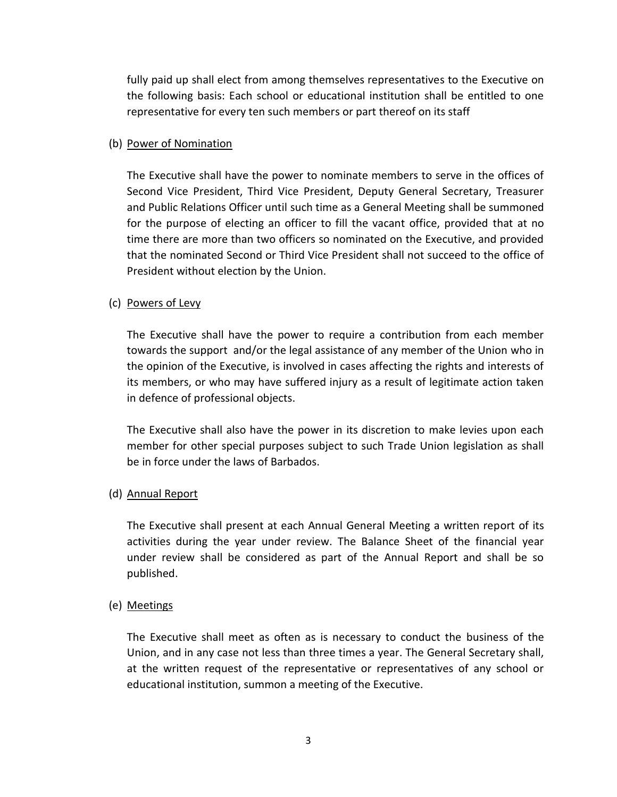fully paid up shall elect from among themselves representatives to the Executive on the following basis: Each school or educational institution shall be entitled to one representative for every ten such members or part thereof on its staff

#### (b) Power of Nomination

The Executive shall have the power to nominate members to serve in the offices of Second Vice President, Third Vice President, Deputy General Secretary, Treasurer and Public Relations Officer until such time as a General Meeting shall be summoned for the purpose of electing an officer to fill the vacant office, provided that at no time there are more than two officers so nominated on the Executive, and provided that the nominated Second or Third Vice President shall not succeed to the office of President without election by the Union.

## (c) Powers of Levy

The Executive shall have the power to require a contribution from each member towards the support and/or the legal assistance of any member of the Union who in the opinion of the Executive, is involved in cases affecting the rights and interests of its members, or who may have suffered injury as a result of legitimate action taken in defence of professional objects.

The Executive shall also have the power in its discretion to make levies upon each member for other special purposes subject to such Trade Union legislation as shall be in force under the laws of Barbados.

### (d) Annual Report

The Executive shall present at each Annual General Meeting a written report of its activities during the year under review. The Balance Sheet of the financial year under review shall be considered as part of the Annual Report and shall be so published.

### (e) Meetings

The Executive shall meet as often as is necessary to conduct the business of the Union, and in any case not less than three times a year. The General Secretary shall, at the written request of the representative or representatives of any school or educational institution, summon a meeting of the Executive.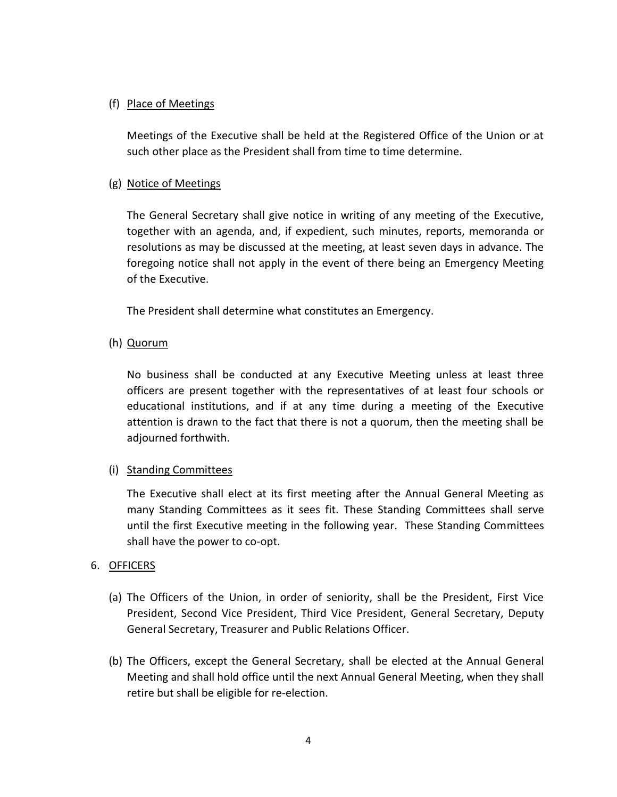### (f) Place of Meetings

Meetings of the Executive shall be held at the Registered Office of the Union or at such other place as the President shall from time to time determine.

### (g) Notice of Meetings

The General Secretary shall give notice in writing of any meeting of the Executive, together with an agenda, and, if expedient, such minutes, reports, memoranda or resolutions as may be discussed at the meeting, at least seven days in advance. The foregoing notice shall not apply in the event of there being an Emergency Meeting of the Executive.

The President shall determine what constitutes an Emergency.

(h) Quorum

No business shall be conducted at any Executive Meeting unless at least three officers are present together with the representatives of at least four schools or educational institutions, and if at any time during a meeting of the Executive attention is drawn to the fact that there is not a quorum, then the meeting shall be adjourned forthwith.

### (i) Standing Committees

The Executive shall elect at its first meeting after the Annual General Meeting as many Standing Committees as it sees fit. These Standing Committees shall serve until the first Executive meeting in the following year. These Standing Committees shall have the power to co-opt.

#### 6. OFFICERS

- (a) The Officers of the Union, in order of seniority, shall be the President, First Vice President, Second Vice President, Third Vice President, General Secretary, Deputy General Secretary, Treasurer and Public Relations Officer.
- (b) The Officers, except the General Secretary, shall be elected at the Annual General Meeting and shall hold office until the next Annual General Meeting, when they shall retire but shall be eligible for re-election.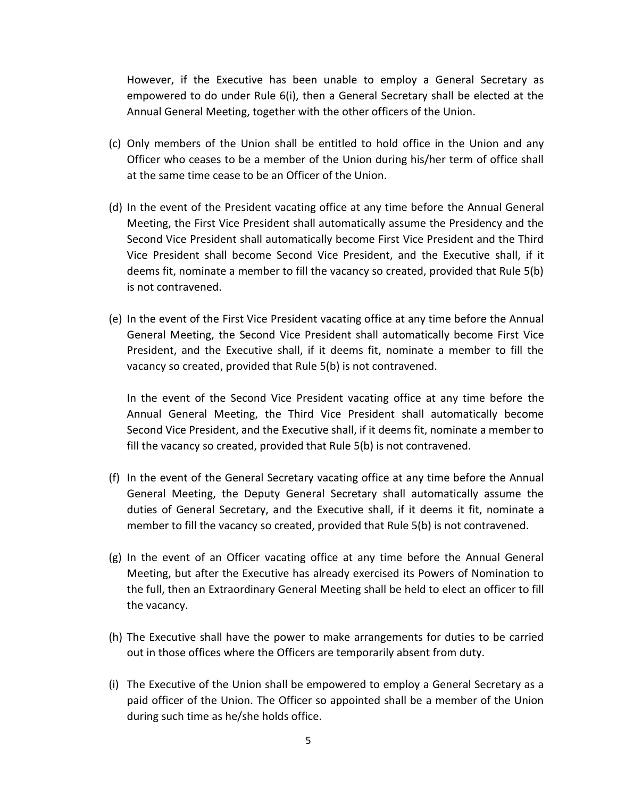However, if the Executive has been unable to employ a General Secretary as empowered to do under Rule 6(i), then a General Secretary shall be elected at the Annual General Meeting, together with the other officers of the Union.

- (c) Only members of the Union shall be entitled to hold office in the Union and any Officer who ceases to be a member of the Union during his/her term of office shall at the same time cease to be an Officer of the Union.
- (d) In the event of the President vacating office at any time before the Annual General Meeting, the First Vice President shall automatically assume the Presidency and the Second Vice President shall automatically become First Vice President and the Third Vice President shall become Second Vice President, and the Executive shall, if it deems fit, nominate a member to fill the vacancy so created, provided that Rule 5(b) is not contravened.
- (e) In the event of the First Vice President vacating office at any time before the Annual General Meeting, the Second Vice President shall automatically become First Vice President, and the Executive shall, if it deems fit, nominate a member to fill the vacancy so created, provided that Rule 5(b) is not contravened.

In the event of the Second Vice President vacating office at any time before the Annual General Meeting, the Third Vice President shall automatically become Second Vice President, and the Executive shall, if it deems fit, nominate a member to fill the vacancy so created, provided that Rule 5(b) is not contravened.

- (f) In the event of the General Secretary vacating office at any time before the Annual General Meeting, the Deputy General Secretary shall automatically assume the duties of General Secretary, and the Executive shall, if it deems it fit, nominate a member to fill the vacancy so created, provided that Rule 5(b) is not contravened.
- (g) In the event of an Officer vacating office at any time before the Annual General Meeting, but after the Executive has already exercised its Powers of Nomination to the full, then an Extraordinary General Meeting shall be held to elect an officer to fill the vacancy.
- (h) The Executive shall have the power to make arrangements for duties to be carried out in those offices where the Officers are temporarily absent from duty.
- (i) The Executive of the Union shall be empowered to employ a General Secretary as a paid officer of the Union. The Officer so appointed shall be a member of the Union during such time as he/she holds office.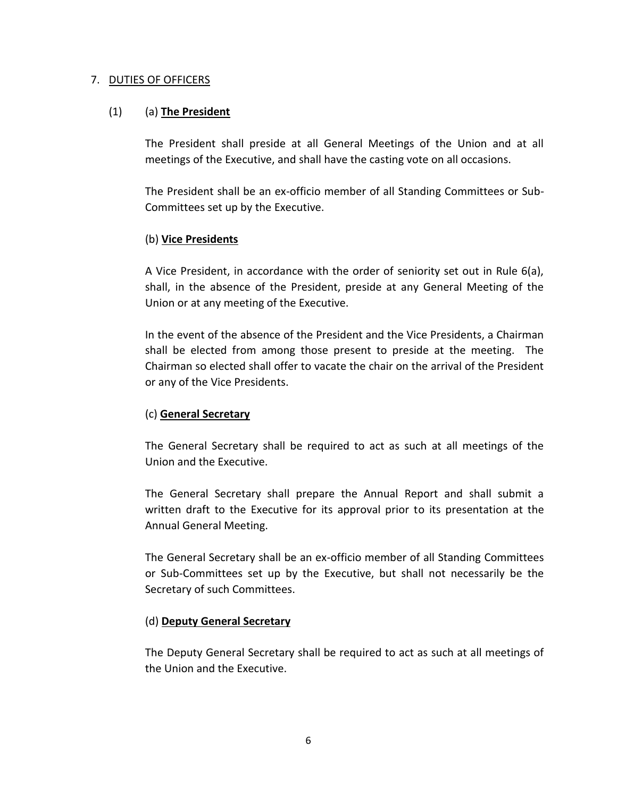#### 7. DUTIES OF OFFICERS

### (1) (a) **The President**

The President shall preside at all General Meetings of the Union and at all meetings of the Executive, and shall have the casting vote on all occasions.

The President shall be an ex-officio member of all Standing Committees or Sub-Committees set up by the Executive.

### (b) **Vice Presidents**

A Vice President, in accordance with the order of seniority set out in Rule 6(a), shall, in the absence of the President, preside at any General Meeting of the Union or at any meeting of the Executive.

In the event of the absence of the President and the Vice Presidents, a Chairman shall be elected from among those present to preside at the meeting. The Chairman so elected shall offer to vacate the chair on the arrival of the President or any of the Vice Presidents.

### (c) **General Secretary**

The General Secretary shall be required to act as such at all meetings of the Union and the Executive.

The General Secretary shall prepare the Annual Report and shall submit a written draft to the Executive for its approval prior to its presentation at the Annual General Meeting.

The General Secretary shall be an ex-officio member of all Standing Committees or Sub-Committees set up by the Executive, but shall not necessarily be the Secretary of such Committees.

#### (d) **Deputy General Secretary**

The Deputy General Secretary shall be required to act as such at all meetings of the Union and the Executive.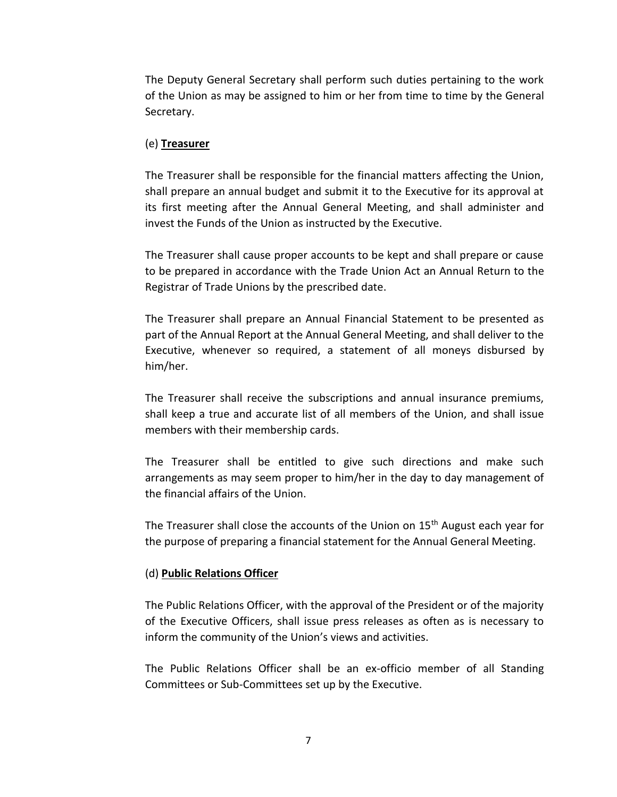The Deputy General Secretary shall perform such duties pertaining to the work of the Union as may be assigned to him or her from time to time by the General Secretary.

#### (e) **Treasurer**

The Treasurer shall be responsible for the financial matters affecting the Union, shall prepare an annual budget and submit it to the Executive for its approval at its first meeting after the Annual General Meeting, and shall administer and invest the Funds of the Union as instructed by the Executive.

The Treasurer shall cause proper accounts to be kept and shall prepare or cause to be prepared in accordance with the Trade Union Act an Annual Return to the Registrar of Trade Unions by the prescribed date.

The Treasurer shall prepare an Annual Financial Statement to be presented as part of the Annual Report at the Annual General Meeting, and shall deliver to the Executive, whenever so required, a statement of all moneys disbursed by him/her.

The Treasurer shall receive the subscriptions and annual insurance premiums, shall keep a true and accurate list of all members of the Union, and shall issue members with their membership cards.

The Treasurer shall be entitled to give such directions and make such arrangements as may seem proper to him/her in the day to day management of the financial affairs of the Union.

The Treasurer shall close the accounts of the Union on 15<sup>th</sup> August each year for the purpose of preparing a financial statement for the Annual General Meeting.

#### (d) **Public Relations Officer**

The Public Relations Officer, with the approval of the President or of the majority of the Executive Officers, shall issue press releases as often as is necessary to inform the community of the Union's views and activities.

The Public Relations Officer shall be an ex-officio member of all Standing Committees or Sub-Committees set up by the Executive.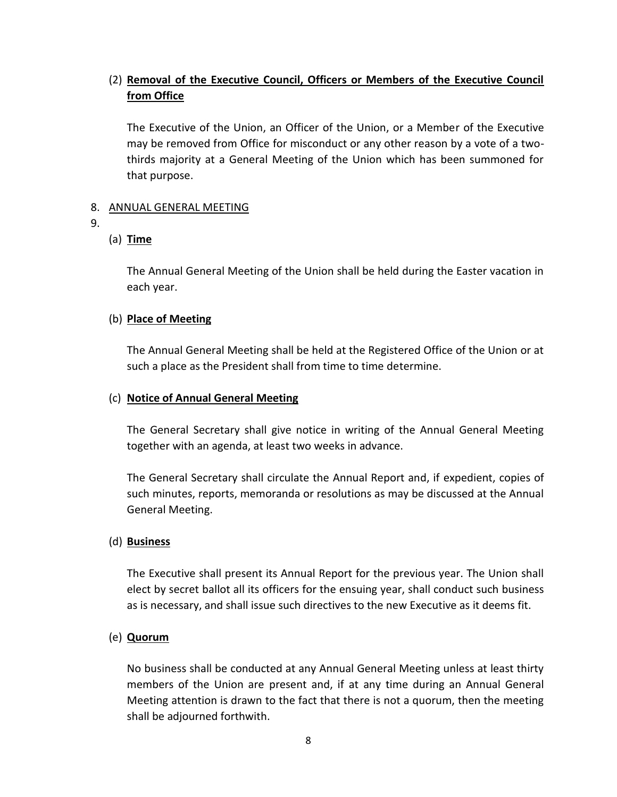# (2) **Removal of the Executive Council, Officers or Members of the Executive Council from Office**

The Executive of the Union, an Officer of the Union, or a Member of the Executive may be removed from Office for misconduct or any other reason by a vote of a twothirds majority at a General Meeting of the Union which has been summoned for that purpose.

### 8. ANNUAL GENERAL MEETING

9.

### (a) **Time**

The Annual General Meeting of the Union shall be held during the Easter vacation in each year.

### (b) **Place of Meeting**

The Annual General Meeting shall be held at the Registered Office of the Union or at such a place as the President shall from time to time determine.

### (c) **Notice of Annual General Meeting**

The General Secretary shall give notice in writing of the Annual General Meeting together with an agenda, at least two weeks in advance.

The General Secretary shall circulate the Annual Report and, if expedient, copies of such minutes, reports, memoranda or resolutions as may be discussed at the Annual General Meeting.

#### (d) **Business**

The Executive shall present its Annual Report for the previous year. The Union shall elect by secret ballot all its officers for the ensuing year, shall conduct such business as is necessary, and shall issue such directives to the new Executive as it deems fit.

### (e) **Quorum**

No business shall be conducted at any Annual General Meeting unless at least thirty members of the Union are present and, if at any time during an Annual General Meeting attention is drawn to the fact that there is not a quorum, then the meeting shall be adjourned forthwith.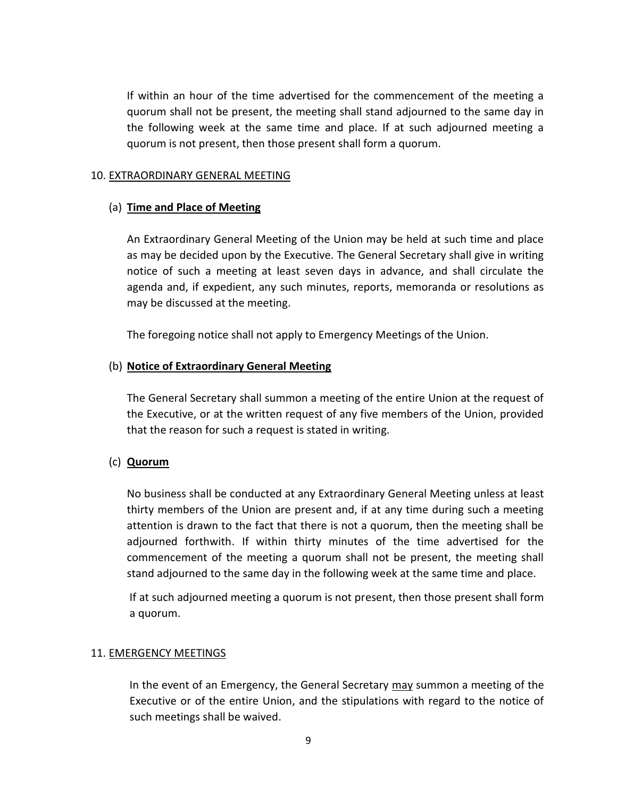If within an hour of the time advertised for the commencement of the meeting a quorum shall not be present, the meeting shall stand adjourned to the same day in the following week at the same time and place. If at such adjourned meeting a quorum is not present, then those present shall form a quorum.

#### 10. EXTRAORDINARY GENERAL MEETING

#### (a) **Time and Place of Meeting**

An Extraordinary General Meeting of the Union may be held at such time and place as may be decided upon by the Executive. The General Secretary shall give in writing notice of such a meeting at least seven days in advance, and shall circulate the agenda and, if expedient, any such minutes, reports, memoranda or resolutions as may be discussed at the meeting.

The foregoing notice shall not apply to Emergency Meetings of the Union.

#### (b) **Notice of Extraordinary General Meeting**

The General Secretary shall summon a meeting of the entire Union at the request of the Executive, or at the written request of any five members of the Union, provided that the reason for such a request is stated in writing.

#### (c) **Quorum**

No business shall be conducted at any Extraordinary General Meeting unless at least thirty members of the Union are present and, if at any time during such a meeting attention is drawn to the fact that there is not a quorum, then the meeting shall be adjourned forthwith. If within thirty minutes of the time advertised for the commencement of the meeting a quorum shall not be present, the meeting shall stand adjourned to the same day in the following week at the same time and place.

If at such adjourned meeting a quorum is not present, then those present shall form a quorum.

#### 11. EMERGENCY MEETINGS

In the event of an Emergency, the General Secretary may summon a meeting of the Executive or of the entire Union, and the stipulations with regard to the notice of such meetings shall be waived.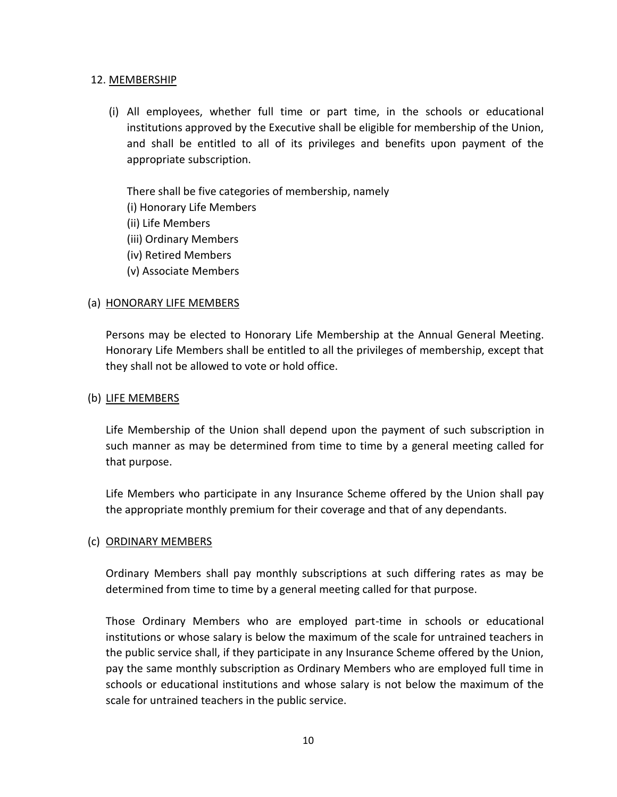#### 12. MEMBERSHIP

(i) All employees, whether full time or part time, in the schools or educational institutions approved by the Executive shall be eligible for membership of the Union, and shall be entitled to all of its privileges and benefits upon payment of the appropriate subscription.

There shall be five categories of membership, namely

- (i) Honorary Life Members
- (ii) Life Members
- (iii) Ordinary Members
- (iv) Retired Members
- (v) Associate Members

### (a) HONORARY LIFE MEMBERS

Persons may be elected to Honorary Life Membership at the Annual General Meeting. Honorary Life Members shall be entitled to all the privileges of membership, except that they shall not be allowed to vote or hold office.

### (b) LIFE MEMBERS

Life Membership of the Union shall depend upon the payment of such subscription in such manner as may be determined from time to time by a general meeting called for that purpose.

Life Members who participate in any Insurance Scheme offered by the Union shall pay the appropriate monthly premium for their coverage and that of any dependants.

### (c) ORDINARY MEMBERS

Ordinary Members shall pay monthly subscriptions at such differing rates as may be determined from time to time by a general meeting called for that purpose.

Those Ordinary Members who are employed part-time in schools or educational institutions or whose salary is below the maximum of the scale for untrained teachers in the public service shall, if they participate in any Insurance Scheme offered by the Union, pay the same monthly subscription as Ordinary Members who are employed full time in schools or educational institutions and whose salary is not below the maximum of the scale for untrained teachers in the public service.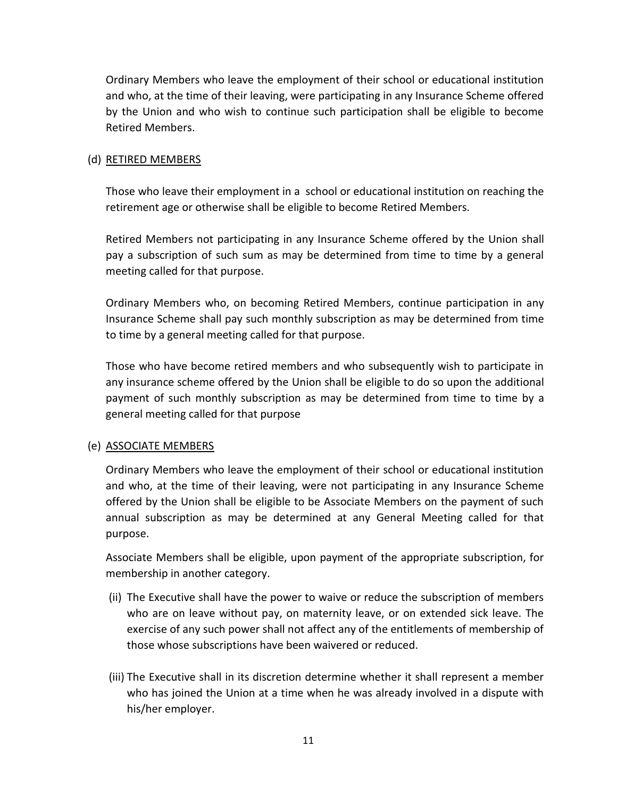Ordinary Members who leave the employment of their school or educational institution and who, at the time of their leaving, were participating in any Insurance Scheme offered by the Union and who wish to continue such participation shall be eligible to become Retired Members.

### (d) RETIRED MEMBERS

Those who leave their employment in a school or educational institution on reaching the retirement age or otherwise shall be eligible to become Retired Members.

Retired Members not participating in any Insurance Scheme offered by the Union shall pay a subscription of such sum as may be determined from time to time by a general meeting called for that purpose.

Ordinary Members who, on becoming Retired Members, continue participation in any Insurance Scheme shall pay such monthly subscription as may be determined from time to time by a general meeting called for that purpose.

Those who have become retired members and who subsequently wish to participate in any insurance scheme offered by the Union shall be eligible to do so upon the additional payment of such monthly subscription as may be determined from time to time by a general meeting called for that purpose

### (e) ASSOCIATE MEMBERS

Ordinary Members who leave the employment of their school or educational institution and who, at the time of their leaving, were not participating in any Insurance Scheme offered by the Union shall be eligible to be Associate Members on the payment of such annual subscription as may be determined at any General Meeting called for that purpose.

Associate Members shall be eligible, upon payment of the appropriate subscription, for membership in another category.

- (ii) The Executive shall have the power to waive or reduce the subscription of members who are on leave without pay, on maternity leave, or on extended sick leave. The exercise of any such power shall not affect any of the entitlements of membership of those whose subscriptions have been waivered or reduced.
- (iii) The Executive shall in its discretion determine whether it shall represent a member who has joined the Union at a time when he was already involved in a dispute with his/her employer.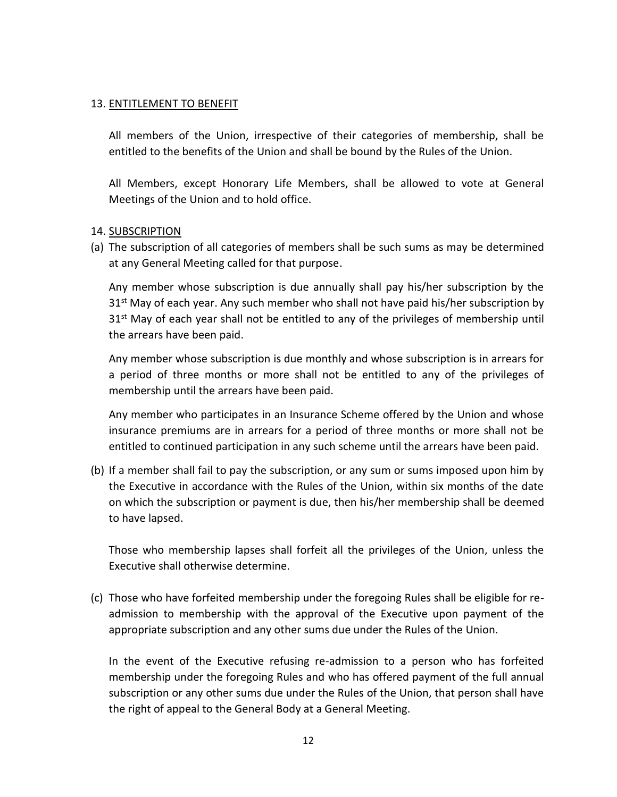#### 13. ENTITLEMENT TO BENEFIT

All members of the Union, irrespective of their categories of membership, shall be entitled to the benefits of the Union and shall be bound by the Rules of the Union.

All Members, except Honorary Life Members, shall be allowed to vote at General Meetings of the Union and to hold office.

#### 14. SUBSCRIPTION

(a) The subscription of all categories of members shall be such sums as may be determined at any General Meeting called for that purpose.

Any member whose subscription is due annually shall pay his/her subscription by the 31<sup>st</sup> May of each year. Any such member who shall not have paid his/her subscription by 31<sup>st</sup> May of each year shall not be entitled to any of the privileges of membership until the arrears have been paid.

Any member whose subscription is due monthly and whose subscription is in arrears for a period of three months or more shall not be entitled to any of the privileges of membership until the arrears have been paid.

Any member who participates in an Insurance Scheme offered by the Union and whose insurance premiums are in arrears for a period of three months or more shall not be entitled to continued participation in any such scheme until the arrears have been paid.

(b) If a member shall fail to pay the subscription, or any sum or sums imposed upon him by the Executive in accordance with the Rules of the Union, within six months of the date on which the subscription or payment is due, then his/her membership shall be deemed to have lapsed.

Those who membership lapses shall forfeit all the privileges of the Union, unless the Executive shall otherwise determine.

(c) Those who have forfeited membership under the foregoing Rules shall be eligible for readmission to membership with the approval of the Executive upon payment of the appropriate subscription and any other sums due under the Rules of the Union.

In the event of the Executive refusing re-admission to a person who has forfeited membership under the foregoing Rules and who has offered payment of the full annual subscription or any other sums due under the Rules of the Union, that person shall have the right of appeal to the General Body at a General Meeting.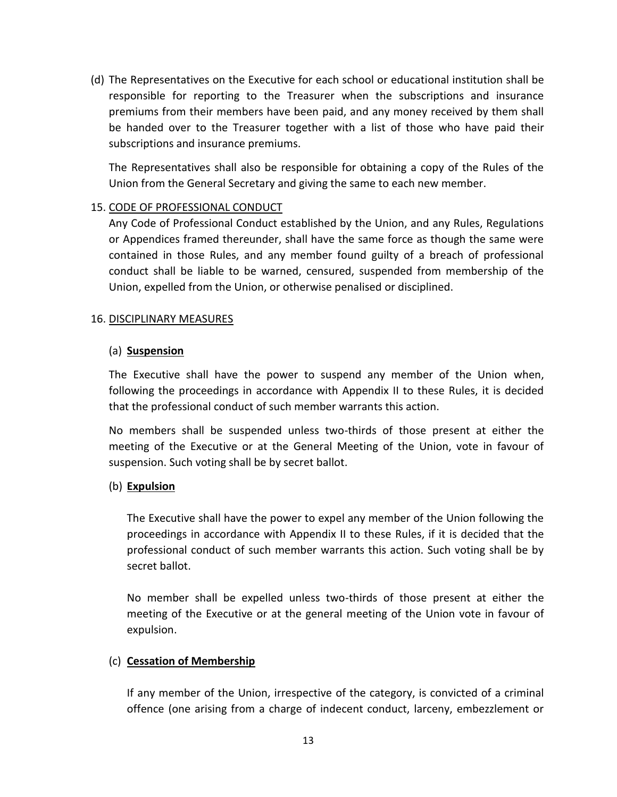(d) The Representatives on the Executive for each school or educational institution shall be responsible for reporting to the Treasurer when the subscriptions and insurance premiums from their members have been paid, and any money received by them shall be handed over to the Treasurer together with a list of those who have paid their subscriptions and insurance premiums.

The Representatives shall also be responsible for obtaining a copy of the Rules of the Union from the General Secretary and giving the same to each new member.

### 15. CODE OF PROFESSIONAL CONDUCT

Any Code of Professional Conduct established by the Union, and any Rules, Regulations or Appendices framed thereunder, shall have the same force as though the same were contained in those Rules, and any member found guilty of a breach of professional conduct shall be liable to be warned, censured, suspended from membership of the Union, expelled from the Union, or otherwise penalised or disciplined.

#### 16. DISCIPLINARY MEASURES

#### (a) **Suspension**

The Executive shall have the power to suspend any member of the Union when, following the proceedings in accordance with Appendix II to these Rules, it is decided that the professional conduct of such member warrants this action.

No members shall be suspended unless two-thirds of those present at either the meeting of the Executive or at the General Meeting of the Union, vote in favour of suspension. Such voting shall be by secret ballot.

#### (b) **Expulsion**

The Executive shall have the power to expel any member of the Union following the proceedings in accordance with Appendix II to these Rules, if it is decided that the professional conduct of such member warrants this action. Such voting shall be by secret ballot.

No member shall be expelled unless two-thirds of those present at either the meeting of the Executive or at the general meeting of the Union vote in favour of expulsion.

#### (c) **Cessation of Membership**

If any member of the Union, irrespective of the category, is convicted of a criminal offence (one arising from a charge of indecent conduct, larceny, embezzlement or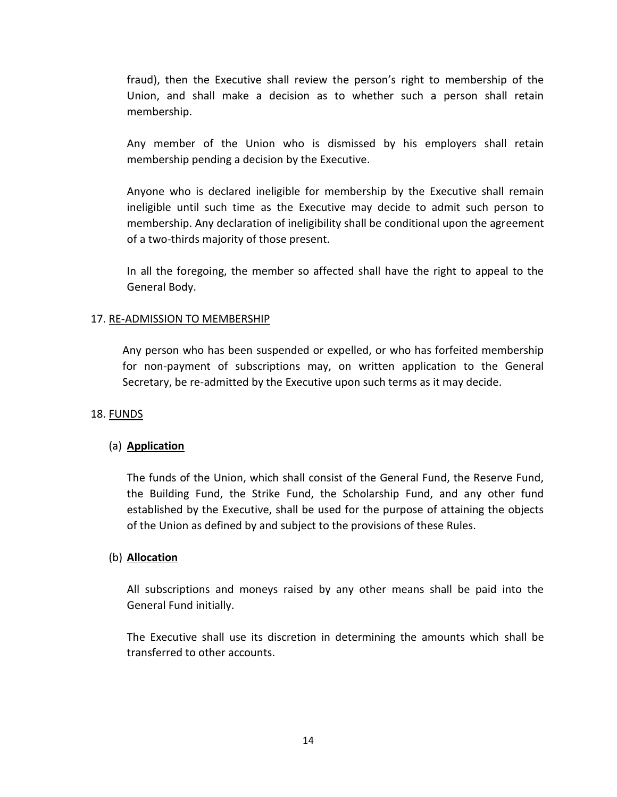fraud), then the Executive shall review the person's right to membership of the Union, and shall make a decision as to whether such a person shall retain membership.

Any member of the Union who is dismissed by his employers shall retain membership pending a decision by the Executive.

Anyone who is declared ineligible for membership by the Executive shall remain ineligible until such time as the Executive may decide to admit such person to membership. Any declaration of ineligibility shall be conditional upon the agreement of a two-thirds majority of those present.

In all the foregoing, the member so affected shall have the right to appeal to the General Body.

### 17. RE-ADMISSION TO MEMBERSHIP

Any person who has been suspended or expelled, or who has forfeited membership for non-payment of subscriptions may, on written application to the General Secretary, be re-admitted by the Executive upon such terms as it may decide.

#### 18. FUNDS

#### (a) **Application**

The funds of the Union, which shall consist of the General Fund, the Reserve Fund, the Building Fund, the Strike Fund, the Scholarship Fund, and any other fund established by the Executive, shall be used for the purpose of attaining the objects of the Union as defined by and subject to the provisions of these Rules.

#### (b) **Allocation**

All subscriptions and moneys raised by any other means shall be paid into the General Fund initially.

The Executive shall use its discretion in determining the amounts which shall be transferred to other accounts.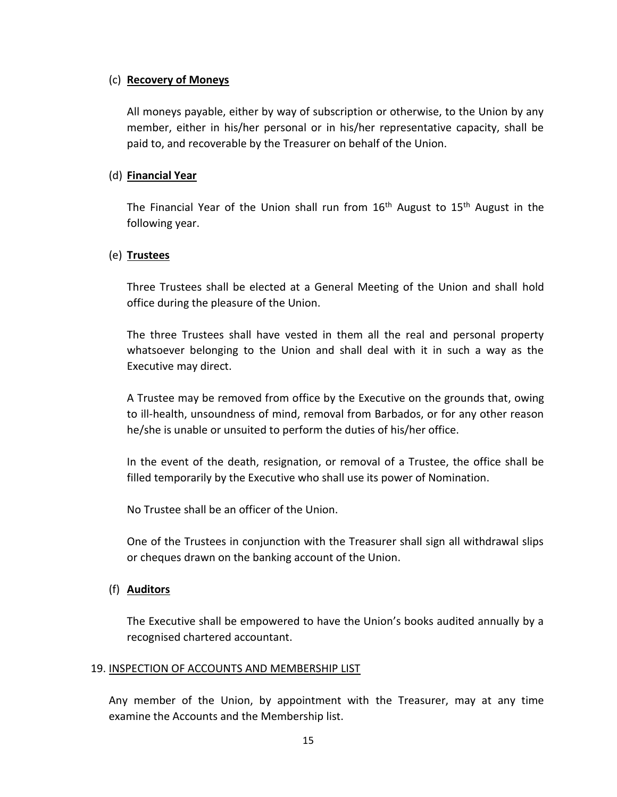#### (c) **Recovery of Moneys**

All moneys payable, either by way of subscription or otherwise, to the Union by any member, either in his/her personal or in his/her representative capacity, shall be paid to, and recoverable by the Treasurer on behalf of the Union.

### (d) **Financial Year**

The Financial Year of the Union shall run from  $16<sup>th</sup>$  August to  $15<sup>th</sup>$  August in the following year.

### (e) **Trustees**

Three Trustees shall be elected at a General Meeting of the Union and shall hold office during the pleasure of the Union.

The three Trustees shall have vested in them all the real and personal property whatsoever belonging to the Union and shall deal with it in such a way as the Executive may direct.

A Trustee may be removed from office by the Executive on the grounds that, owing to ill-health, unsoundness of mind, removal from Barbados, or for any other reason he/she is unable or unsuited to perform the duties of his/her office.

In the event of the death, resignation, or removal of a Trustee, the office shall be filled temporarily by the Executive who shall use its power of Nomination.

No Trustee shall be an officer of the Union.

One of the Trustees in conjunction with the Treasurer shall sign all withdrawal slips or cheques drawn on the banking account of the Union.

### (f) **Auditors**

The Executive shall be empowered to have the Union's books audited annually by a recognised chartered accountant.

#### 19. INSPECTION OF ACCOUNTS AND MEMBERSHIP LIST

Any member of the Union, by appointment with the Treasurer, may at any time examine the Accounts and the Membership list.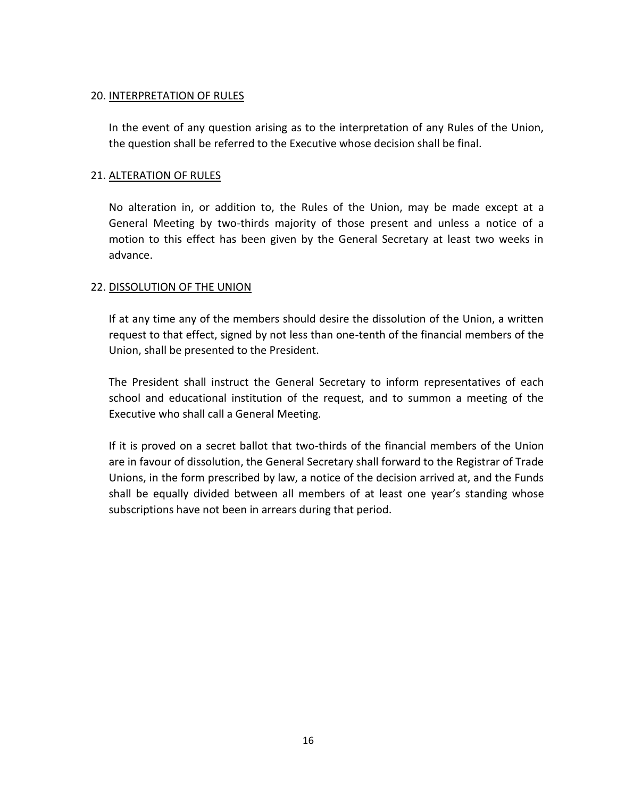#### 20. INTERPRETATION OF RULES

In the event of any question arising as to the interpretation of any Rules of the Union, the question shall be referred to the Executive whose decision shall be final.

### 21. ALTERATION OF RULES

No alteration in, or addition to, the Rules of the Union, may be made except at a General Meeting by two-thirds majority of those present and unless a notice of a motion to this effect has been given by the General Secretary at least two weeks in advance.

### 22. DISSOLUTION OF THE UNION

If at any time any of the members should desire the dissolution of the Union, a written request to that effect, signed by not less than one-tenth of the financial members of the Union, shall be presented to the President.

The President shall instruct the General Secretary to inform representatives of each school and educational institution of the request, and to summon a meeting of the Executive who shall call a General Meeting.

If it is proved on a secret ballot that two-thirds of the financial members of the Union are in favour of dissolution, the General Secretary shall forward to the Registrar of Trade Unions, in the form prescribed by law, a notice of the decision arrived at, and the Funds shall be equally divided between all members of at least one year's standing whose subscriptions have not been in arrears during that period.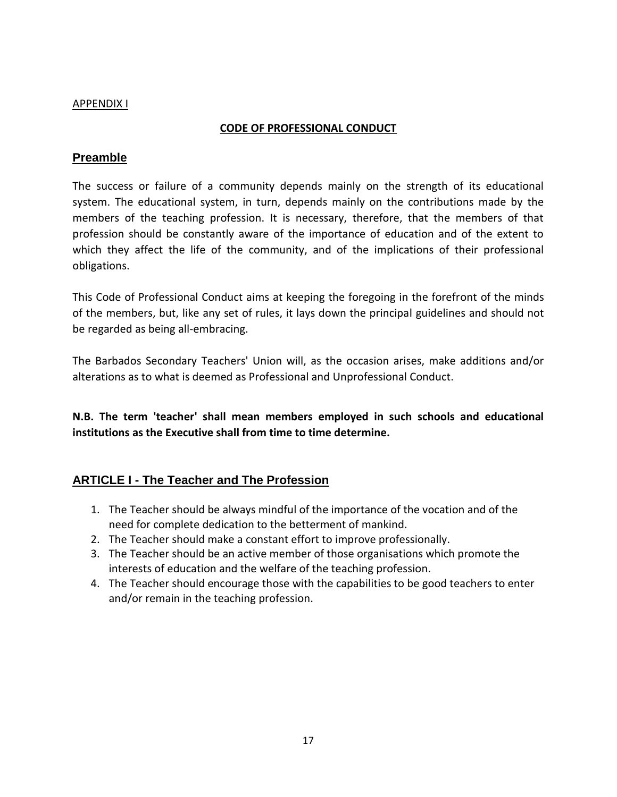### APPENDIX I

### **CODE OF PROFESSIONAL CONDUCT**

## **Preamble**

The success or failure of a community depends mainly on the strength of its educational system. The educational system, in turn, depends mainly on the contributions made by the members of the teaching profession. It is necessary, therefore, that the members of that profession should be constantly aware of the importance of education and of the extent to which they affect the life of the community, and of the implications of their professional obligations.

This Code of Professional Conduct aims at keeping the foregoing in the forefront of the minds of the members, but, like any set of rules, it lays down the principal guidelines and should not be regarded as being all-embracing.

The Barbados Secondary Teachers' Union will, as the occasion arises, make additions and/or alterations as to what is deemed as Professional and Unprofessional Conduct.

**N.B. The term 'teacher' shall mean members employed in such schools and educational institutions as the Executive shall from time to time determine.**

# **ARTICLE I - The Teacher and The Profession**

- 1. The Teacher should be always mindful of the importance of the vocation and of the need for complete dedication to the betterment of mankind.
- 2. The Teacher should make a constant effort to improve professionally.
- 3. The Teacher should be an active member of those organisations which promote the interests of education and the welfare of the teaching profession.
- 4. The Teacher should encourage those with the capabilities to be good teachers to enter and/or remain in the teaching profession.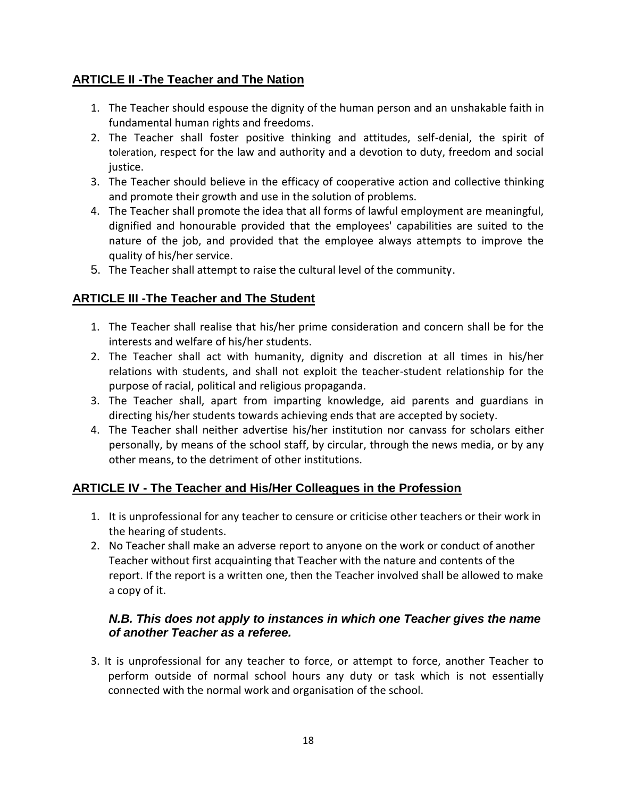# **ARTICLE II -The Teacher and The Nation**

- 1. The Teacher should espouse the dignity of the human person and an unshakable faith in fundamental human rights and freedoms.
- 2. The Teacher shall foster positive thinking and attitudes, self-denial, the spirit of toleration, respect for the law and authority and a devotion to duty, freedom and social justice.
- 3. The Teacher should believe in the efficacy of cooperative action and collective thinking and promote their growth and use in the solution of problems.
- 4. The Teacher shall promote the idea that all forms of lawful employment are meaningful, dignified and honourable provided that the employees' capabilities are suited to the nature of the job, and provided that the employee always attempts to improve the quality of his/her service.
- 5. The Teacher shall attempt to raise the cultural level of the community.

# **ARTICLE III -The Teacher and The Student**

- 1. The Teacher shall realise that his/her prime consideration and concern shall be for the interests and welfare of his/her students.
- 2. The Teacher shall act with humanity, dignity and discretion at all times in his/her relations with students, and shall not exploit the teacher-student relationship for the purpose of racial, political and religious propaganda.
- 3. The Teacher shall, apart from imparting knowledge, aid parents and guardians in directing his/her students towards achieving ends that are accepted by society.
- 4. The Teacher shall neither advertise his/her institution nor canvass for scholars either personally, by means of the school staff, by circular, through the news media, or by any other means, to the detriment of other institutions.

# **ARTICLE IV - The Teacher and His/Her Colleagues in the Profession**

- 1. It is unprofessional for any teacher to censure or criticise other teachers or their work in the hearing of students.
- 2. No Teacher shall make an adverse report to anyone on the work or conduct of another Teacher without first acquainting that Teacher with the nature and contents of the report. If the report is a written one, then the Teacher involved shall be allowed to make a copy of it.

## *N.B. This does not apply to instances in which one Teacher gives the name of another Teacher as a referee.*

3. It is unprofessional for any teacher to force, or attempt to force, another Teacher to perform outside of normal school hours any duty or task which is not essentially connected with the normal work and organisation of the school.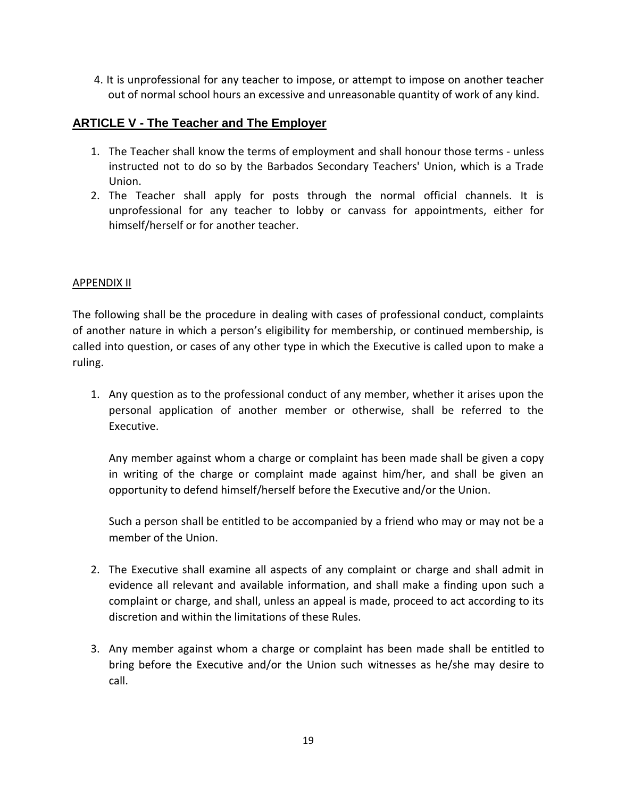4. It is unprofessional for any teacher to impose, or attempt to impose on another teacher out of normal school hours an excessive and unreasonable quantity of work of any kind.

# **ARTICLE V - The Teacher and The Employer**

- 1. The Teacher shall know the terms of employment and shall honour those terms unless instructed not to do so by the Barbados Secondary Teachers' Union, which is a Trade Union.
- 2. The Teacher shall apply for posts through the normal official channels. It is unprofessional for any teacher to lobby or canvass for appointments, either for himself/herself or for another teacher.

### APPENDIX II

The following shall be the procedure in dealing with cases of professional conduct, complaints of another nature in which a person's eligibility for membership, or continued membership, is called into question, or cases of any other type in which the Executive is called upon to make a ruling.

1. Any question as to the professional conduct of any member, whether it arises upon the personal application of another member or otherwise, shall be referred to the Executive.

Any member against whom a charge or complaint has been made shall be given a copy in writing of the charge or complaint made against him/her, and shall be given an opportunity to defend himself/herself before the Executive and/or the Union.

Such a person shall be entitled to be accompanied by a friend who may or may not be a member of the Union.

- 2. The Executive shall examine all aspects of any complaint or charge and shall admit in evidence all relevant and available information, and shall make a finding upon such a complaint or charge, and shall, unless an appeal is made, proceed to act according to its discretion and within the limitations of these Rules.
- 3. Any member against whom a charge or complaint has been made shall be entitled to bring before the Executive and/or the Union such witnesses as he/she may desire to call.